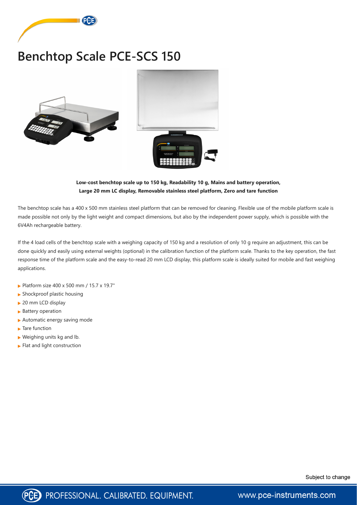

## **Benchtop Scale PCE-SCS 150**



## **Low-cost benchtop scale up to 150 kg, Readability 10 g, Mains and battery operation, Large 20 mm LC display, Removable stainless steel platform, Zero and tare function**

The benchtop scale has a 400 x 500 mm stainless steel platform that can be removed for cleaning. Flexible use of the mobile platform scale is made possible not only by the light weight and compact dimensions, but also by the independent power supply, which is possible with the 6V4Ah rechargeable battery.

If the 4 load cells of the benchtop scale with a weighing capacity of 150 kg and a resolution of only 10 g require an adjustment, this can be done quickly and easily using external weights (optional) in the calibration function of the platform scale. Thanks to the key operation, the fast response time of the platform scale and the easy-to-read 20 mm LCD display, this platform scale is ideally suited for mobile and fast weighing applications.

- ▶ Platform size 400 x 500 mm / 15.7 x 19.7"
- $\blacktriangleright$  Shockproof plastic housing
- ▶ 20 mm LCD display
- ▶ Battery operation
- Automatic energy saving mode
- ▶ Tare function
- $\blacktriangleright$  Weighing units kg and lb.
- $\blacktriangleright$  Flat and light construction





www.pce-instruments.com